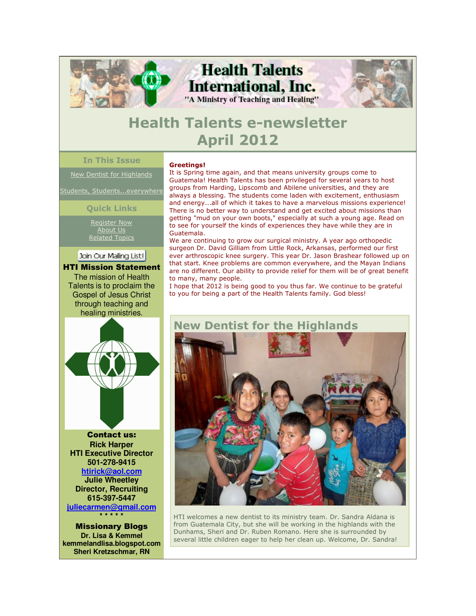

## **Health Talents e-newsletter April 2012**

### **In This Issue**

New Dentist for Highlands

Students, Students...everywhere

**Quick Links**

Register Now About Us Related Topics

Join Our Mailing List!

HTI Mission Statement The mission of Health Talents is to proclaim the Gospel of Jesus Christ through teaching and healing ministries.



Contact us: **Rick Harper HTI Executive Director 501-278-9415 htirick@aol.com Julie Wheetley Director, Recruiting 615-397-5447 juliecarmen@gmail.com \* \* \* \* \*** 

Missionary Blogs **Dr. Lisa & Kemmel kemmelandlisa.blogspot.com Sheri Kretzschmar, RN**

#### **Greetings!**

It is Spring time again, and that means university groups come to Guatemala! Health Talents has been privileged for several years to host groups from Harding, Lipscomb and Abilene universities, and they are always a blessing. The students come laden with excitement, enthusiasm and energy...all of which it takes to have a marvelous missions experience! There is no better way to understand and get excited about missions than getting "mud on your own boots," especially at such a young age. Read on to see for yourself the kinds of experiences they have while they are in Guatemala.

We are continuing to grow our surgical ministry. A year ago orthopedic surgeon Dr. David Gilliam from Little Rock, Arkansas, performed our first ever arthroscopic knee surgery. This year Dr. Jason Brashear followed up on that start. Knee problems are common everywhere, and the Mayan Indians are no different. Our ability to provide relief for them will be of great benefit to many, many people.

I hope that 2012 is being good to you thus far. We continue to be grateful to you for being a part of the Health Talents family. God bless!



HTI welcomes a new dentist to its ministry team. Dr. Sandra Aldana is from Guatemala City, but she will be working in the highlands with the Dunhams, Sheri and Dr. Ruben Romano. Here she is surrounded by several little children eager to help her clean up. Welcome, Dr. Sandra!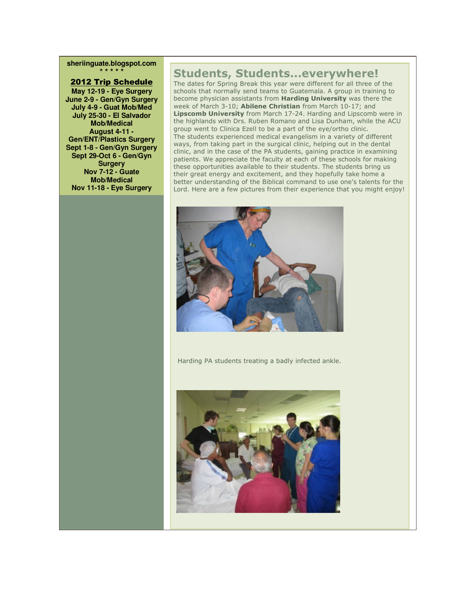**sheriinguate.blogspot.com \* \* \* \* \***

#### 2012 Trip Schedule

**May 12-19 - Eye Surgery June 2-9 - Gen/Gyn Surgery July 4-9 - Guat Mob/Med July 25-30 - El Salvador Mob/Medical August 4-11 - Gen/ENT/Plastics Surgery Sept 1-8 - Gen/Gyn Surgery Sept 29-Oct 6 - Gen/Gyn Surgery Nov 7-12 - Guate Mob/Medical Nov 11-18 - Eye Surgery**

### **Students, Students...everywhere!**

The dates for Spring Break this year were different for all three of the schools that normally send teams to Guatemala. A group in training to become physician assistants from **Harding University** was there the week of March 3-10; **Abilene Christian** from March 10-17; and **Lipscomb University** from March 17-24. Harding and Lipscomb were in the highlands with Drs. Ruben Romano and Lisa Dunham, while the ACU group went to Clinica Ezell to be a part of the eye/ortho clinic. The students experienced medical evangelism in a variety of different ways, from taking part in the surgical clinic, helping out in the dental clinic, and in the case of the PA students, gaining practice in examining patients. We appreciate the faculty at each of these schools for making these opportunities available to their students. The students bring us their great energy and excitement, and they hopefully take home a better understanding of the Biblical command to use one's talents for the Lord. Here are a few pictures from their experience that you might enjoy!



Harding PA students treating a badly infected ankle.

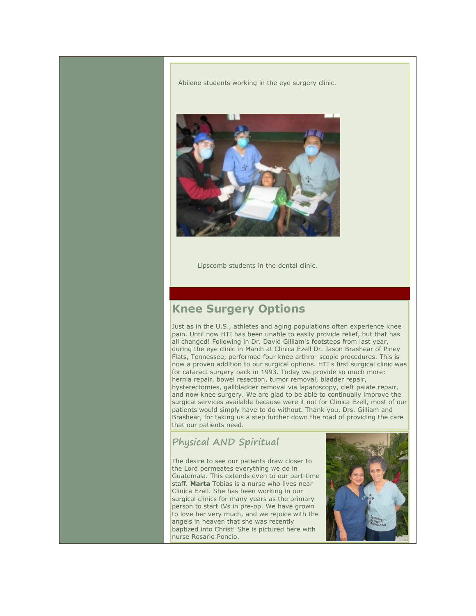Abilene students working in the eye surgery clinic.



Lipscomb students in the dental clinic.

## **Knee Surgery Options**

Just as in the U.S., athletes and aging populations often experience knee pain. Until now HTI has been unable to easily provide relief, but that has all changed! Following in Dr. David Gilliam's footsteps from last year, during the eye clinic in March at Clinica Ezell Dr. Jason Brashear of Piney Flats, Tennessee, performed four knee arthro- scopic procedures. This is now a proven addition to our surgical options. HTI's first surgical clinic was for cataract surgery back in 1993. Today we provide so much more: hernia repair, bowel resection, tumor removal, bladder repair, hysterectomies, gallbladder removal via laparoscopy, cleft palate repair, and now knee surgery. We are glad to be able to continually improve the surgical services available because were it not for Clinica Ezell, most of our patients would simply have to do without. Thank you, Drs. Gilliam and Brashear, for taking us a step further down the road of providing the care that our patients need.

### **Physical AND Spiritual**

The desire to see our patients draw closer to the Lord permeates everything we do in Guatemala. This extends even to our part-time staff. **Marta** Tobias is a nurse who lives near Clinica Ezell. She has been working in our surgical clinics for many years as the primary person to start IVs in pre-op. We have grown to love her very much, and we rejoice with the angels in heaven that she was recently baptized into Christ! She is pictured here with nurse Rosario Poncio.